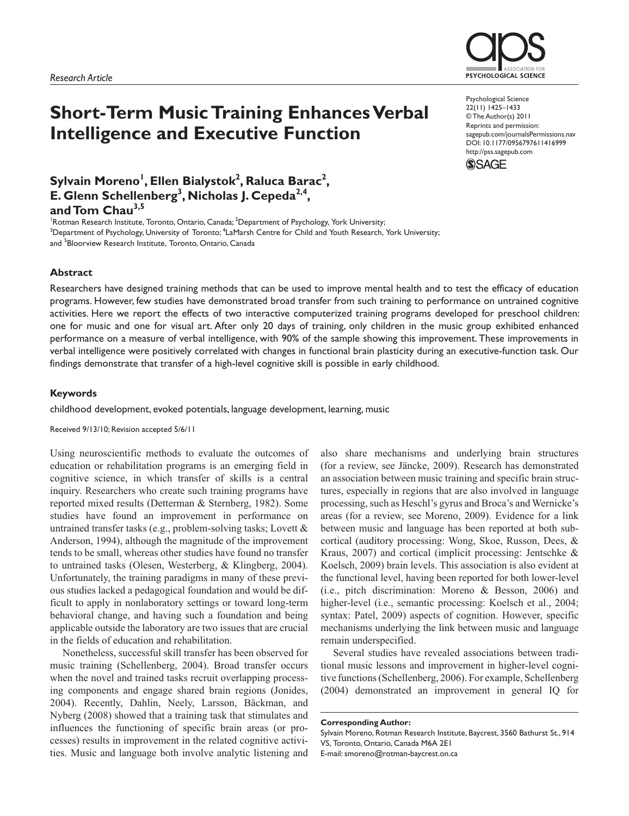# **Short-Term Music Training Enhances Verbal Intelligence and Executive Function**



<sup>1</sup> Rotman Research Institute, Toronto, Ontario, Canada; <sup>2</sup>Department of Psychology, York University;<br><sup>3</sup> Department of Psychology University of Terenter <sup>4</sup>LeMarch Centre for Child and Youth Research Department of Psychology, University of Toronto; <sup>4</sup>LaMarsh Centre for Child and Youth Research, York University; and <sup>5</sup>Bloorview Research Institute, Toronto, Ontario, Canada

#### **Abstract**

Researchers have designed training methods that can be used to improve mental health and to test the efficacy of education programs. However, few studies have demonstrated broad transfer from such training to performance on untrained cognitive activities. Here we report the effects of two interactive computerized training programs developed for preschool children: one for music and one for visual art. After only 20 days of training, only children in the music group exhibited enhanced performance on a measure of verbal intelligence, with 90% of the sample showing this improvement. These improvements in verbal intelligence were positively correlated with changes in functional brain plasticity during an executive-function task. Our findings demonstrate that transfer of a high-level cognitive skill is possible in early childhood.

#### **Keywords**

childhood development, evoked potentials, language development, learning, music

Received 9/13/10; Revision accepted 5/6/11

Using neuroscientific methods to evaluate the outcomes of education or rehabilitation programs is an emerging field in cognitive science, in which transfer of skills is a central inquiry. Researchers who create such training programs have reported mixed results (Detterman & Sternberg, 1982). Some studies have found an improvement in performance on untrained transfer tasks (e.g., problem-solving tasks; Lovett & Anderson, 1994), although the magnitude of the improvement tends to be small, whereas other studies have found no transfer to untrained tasks (Olesen, Westerberg, & Klingberg, 2004). Unfortunately, the training paradigms in many of these previous studies lacked a pedagogical foundation and would be difficult to apply in nonlaboratory settings or toward long-term behavioral change, and having such a foundation and being applicable outside the laboratory are two issues that are crucial in the fields of education and rehabilitation.

Nonetheless, successful skill transfer has been observed for music training (Schellenberg, 2004). Broad transfer occurs when the novel and trained tasks recruit overlapping processing components and engage shared brain regions (Jonides, 2004). Recently, Dahlin, Neely, Larsson, Bäckman, and Nyberg (2008) showed that a training task that stimulates and influences the functioning of specific brain areas (or processes) results in improvement in the related cognitive activities. Music and language both involve analytic listening and

also share mechanisms and underlying brain structures (for a review, see Jäncke, 2009). Research has demonstrated an association between music training and specific brain structures, especially in regions that are also involved in language processing, such as Heschl's gyrus and Broca's and Wernicke's areas (for a review, see Moreno, 2009). Evidence for a link between music and language has been reported at both subcortical (auditory processing: Wong, Skoe, Russon, Dees, & Kraus, 2007) and cortical (implicit processing: Jentschke & Koelsch, 2009) brain levels. This association is also evident at the functional level, having been reported for both lower-level (i.e., pitch discrimination: Moreno & Besson, 2006) and higher-level (i.e., semantic processing: Koelsch et al., 2004; syntax: Patel, 2009) aspects of cognition. However, specific mechanisms underlying the link between music and language remain underspecified.

Several studies have revealed associations between traditional music lessons and improvement in higher-level cognitive functions (Schellenberg, 2006). For example, Schellenberg (2004) demonstrated an improvement in general IQ for

**Corresponding Author:** Sylvain Moreno, Rotman Research Institute, Baycrest, 3560 Bathurst St., 914 VS, Toronto, Ontario, Canada M6A 2E1

E-mail: smoreno@rotman-baycrest.on.ca

Psychological Science 22(11) 1425–1433 © The Author(s) 2011 Reprints and permission: sagepub.com/journalsPermissions.nav DOI: 10.1177/0956797611416999 http://pss.sagepub.com



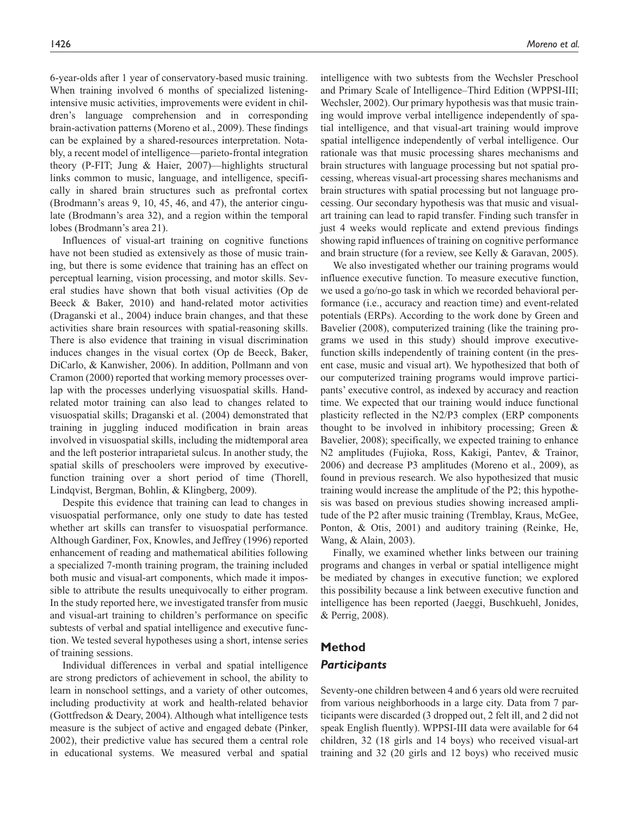6-year-olds after 1 year of conservatory-based music training. When training involved 6 months of specialized listeningintensive music activities, improvements were evident in children's language comprehension and in corresponding brain-activation patterns (Moreno et al., 2009). These findings can be explained by a shared-resources interpretation. Notably, a recent model of intelligence—parieto-frontal integration theory (P-FIT; Jung & Haier, 2007)—highlights structural links common to music, language, and intelligence, specifically in shared brain structures such as prefrontal cortex (Brodmann's areas 9, 10, 45, 46, and 47), the anterior cingulate (Brodmann's area 32), and a region within the temporal lobes (Brodmann's area 21).

Influences of visual-art training on cognitive functions have not been studied as extensively as those of music training, but there is some evidence that training has an effect on perceptual learning, vision processing, and motor skills. Several studies have shown that both visual activities (Op de Beeck & Baker, 2010) and hand-related motor activities (Draganski et al., 2004) induce brain changes, and that these activities share brain resources with spatial-reasoning skills. There is also evidence that training in visual discrimination induces changes in the visual cortex (Op de Beeck, Baker, DiCarlo, & Kanwisher, 2006). In addition, Pollmann and von Cramon (2000) reported that working memory processes overlap with the processes underlying visuospatial skills. Handrelated motor training can also lead to changes related to visuospatial skills; Draganski et al. (2004) demonstrated that training in juggling induced modification in brain areas involved in visuospatial skills, including the midtemporal area and the left posterior intraparietal sulcus. In another study, the spatial skills of preschoolers were improved by executivefunction training over a short period of time (Thorell, Lindqvist, Bergman, Bohlin, & Klingberg, 2009).

Despite this evidence that training can lead to changes in visuospatial performance, only one study to date has tested whether art skills can transfer to visuospatial performance. Although Gardiner, Fox, Knowles, and Jeffrey (1996) reported enhancement of reading and mathematical abilities following a specialized 7-month training program, the training included both music and visual-art components, which made it impossible to attribute the results unequivocally to either program. In the study reported here, we investigated transfer from music and visual-art training to children's performance on specific subtests of verbal and spatial intelligence and executive function. We tested several hypotheses using a short, intense series of training sessions.

Individual differences in verbal and spatial intelligence are strong predictors of achievement in school, the ability to learn in nonschool settings, and a variety of other outcomes, including productivity at work and health-related behavior (Gottfredson & Deary, 2004). Although what intelligence tests measure is the subject of active and engaged debate (Pinker, 2002), their predictive value has secured them a central role in educational systems. We measured verbal and spatial

intelligence with two subtests from the Wechsler Preschool and Primary Scale of Intelligence–Third Edition (WPPSI-III; Wechsler, 2002). Our primary hypothesis was that music training would improve verbal intelligence independently of spatial intelligence, and that visual-art training would improve spatial intelligence independently of verbal intelligence. Our rationale was that music processing shares mechanisms and brain structures with language processing but not spatial processing, whereas visual-art processing shares mechanisms and brain structures with spatial processing but not language processing. Our secondary hypothesis was that music and visualart training can lead to rapid transfer. Finding such transfer in just 4 weeks would replicate and extend previous findings showing rapid influences of training on cognitive performance and brain structure (for a review, see Kelly & Garavan, 2005).

We also investigated whether our training programs would influence executive function. To measure executive function, we used a go/no-go task in which we recorded behavioral performance (i.e., accuracy and reaction time) and event-related potentials (ERPs). According to the work done by Green and Bavelier (2008), computerized training (like the training programs we used in this study) should improve executivefunction skills independently of training content (in the present case, music and visual art). We hypothesized that both of our computerized training programs would improve participants' executive control, as indexed by accuracy and reaction time. We expected that our training would induce functional plasticity reflected in the N2/P3 complex (ERP components thought to be involved in inhibitory processing; Green & Bavelier, 2008); specifically, we expected training to enhance N2 amplitudes (Fujioka, Ross, Kakigi, Pantev, & Trainor, 2006) and decrease P3 amplitudes (Moreno et al., 2009), as found in previous research. We also hypothesized that music training would increase the amplitude of the P2; this hypothesis was based on previous studies showing increased amplitude of the P2 after music training (Tremblay, Kraus, McGee, Ponton, & Otis, 2001) and auditory training (Reinke, He, Wang, & Alain, 2003).

Finally, we examined whether links between our training programs and changes in verbal or spatial intelligence might be mediated by changes in executive function; we explored this possibility because a link between executive function and intelligence has been reported (Jaeggi, Buschkuehl, Jonides, & Perrig, 2008).

## **Method**

#### *Participants*

Seventy-one children between 4 and 6 years old were recruited from various neighborhoods in a large city. Data from 7 participants were discarded (3 dropped out, 2 felt ill, and 2 did not speak English fluently). WPPSI-III data were available for 64 children, 32 (18 girls and 14 boys) who received visual-art training and 32 (20 girls and 12 boys) who received music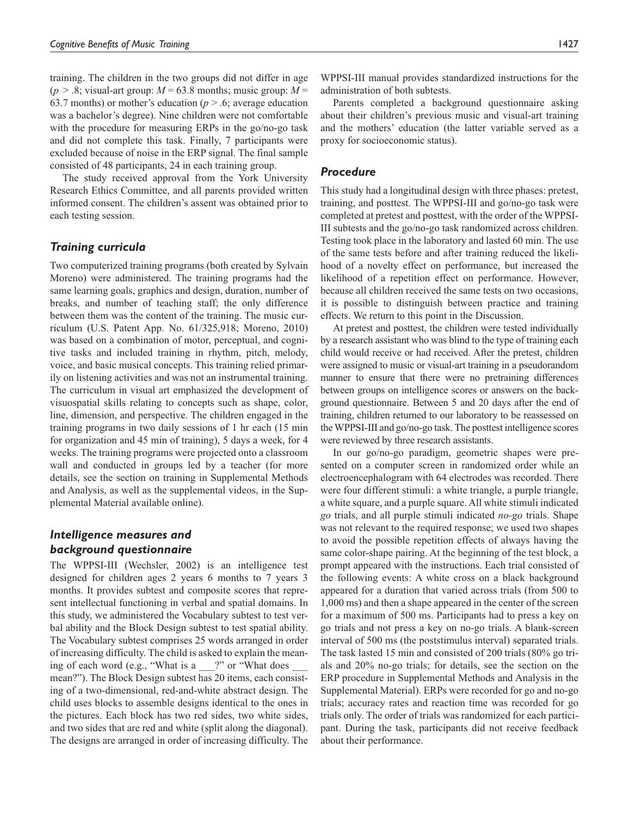training. The children in the two groups did not differ in age  $(p > .8$ ; visual-art group:  $M = 63.8$  months; music group:  $M =$ 63.7 months) or mother's education ( $p > 0$ ; average education was a bachelor's degree). Nine children were not comfortable with the procedure for measuring ERPs in the go/no-go task and did not complete this task. Finally, 7 participants were excluded because of noise in the ERP signal. The final sample consisted of 48 participants, 24 in each training group.

The study received approval from the York University Research Ethics Committee, and all parents provided written informed consent. The children's assent was obtained prior to each testing session.

#### *Training curricula*

Two computerized training programs (both created by Sylvain Moreno) were administered. The training programs had the same learning goals, graphics and design, duration, number of breaks, and number of teaching staff; the only difference between them was the content of the training. The music curriculum (U.S. Patent App. No. 61/325,918; Moreno, 2010) was based on a combination of motor, perceptual, and cognitive tasks and included training in rhythm, pitch, melody, voice, and basic musical concepts. This training relied primarily on listening activities and was not an instrumental training. The curriculum in visual art emphasized the development of visuospatial skills relating to concepts such as shape, color, line, dimension, and perspective. The children engaged in the training programs in two daily sessions of 1 hr each (15 min for organization and 45 min of training), 5 days a week, for 4 weeks. The training programs were projected onto a classroom wall and conducted in groups led by a teacher (for more details, see the section on training in Supplemental Methods and Analysis, as well as the supplemental videos, in the Supplemental Material available online).

# *Intelligence measures and background questionnaire*

The WPPSI-III (Wechsler, 2002) is an intelligence test designed for children ages 2 years 6 months to 7 years 3 months. It provides subtest and composite scores that represent intellectual functioning in verbal and spatial domains. In this study, we administered the Vocabulary subtest to test verbal ability and the Block Design subtest to test spatial ability. The Vocabulary subtest comprises 25 words arranged in order of increasing difficulty. The child is asked to explain the meaning of each word (e.g., "What is a  $\cdots$  "What does" mean?"). The Block Design subtest has 20 items, each consisting of a two-dimensional, red-and-white abstract design. The child uses blocks to assemble designs identical to the ones in the pictures. Each block has two red sides, two white sides, and two sides that are red and white (split along the diagonal). The designs are arranged in order of increasing difficulty. The

WPPSI-III manual provides standardized instructions for the administration of both subtests.

Parents completed a background questionnaire asking about their children's previous music and visual-art training and the mothers' education (the latter variable served as a proxy for socioeconomic status).

#### *Procedure*

This study had a longitudinal design with three phases: pretest, training, and posttest. The WPPSI-III and go/no-go task were completed at pretest and posttest, with the order of the WPPSI-III subtests and the go/no-go task randomized across children. Testing took place in the laboratory and lasted 60 min. The use of the same tests before and after training reduced the likelihood of a novelty effect on performance, but increased the likelihood of a repetition effect on performance. However, because all children received the same tests on two occasions, it is possible to distinguish between practice and training effects. We return to this point in the Discussion.

At pretest and posttest, the children were tested individually by a research assistant who was blind to the type of training each child would receive or had received. After the pretest, children were assigned to music or visual-art training in a pseudorandom manner to ensure that there were no pretraining differences between groups on intelligence scores or answers on the background questionnaire. Between 5 and 20 days after the end of training, children returned to our laboratory to be reassessed on the WPPSI-III and go/no-go task. The posttest intelligence scores were reviewed by three research assistants.

In our go/no-go paradigm, geometric shapes were presented on a computer screen in randomized order while an electroencephalogram with 64 electrodes was recorded. There were four different stimuli: a white triangle, a purple triangle, a white square, and a purple square. All white stimuli indicated *go* trials, and all purple stimuli indicated *no-go* trials. Shape was not relevant to the required response; we used two shapes to avoid the possible repetition effects of always having the same color-shape pairing. At the beginning of the test block, a prompt appeared with the instructions. Each trial consisted of the following events: A white cross on a black background appeared for a duration that varied across trials (from 500 to 1,000 ms) and then a shape appeared in the center of the screen for a maximum of 500 ms. Participants had to press a key on go trials and not press a key on no-go trials. A blank-screen interval of 500 ms (the poststimulus interval) separated trials. The task lasted 15 min and consisted of 200 trials (80% go trials and 20% no-go trials; for details, see the section on the ERP procedure in Supplemental Methods and Analysis in the Supplemental Material). ERPs were recorded for go and no-go trials; accuracy rates and reaction time was recorded for go trials only. The order of trials was randomized for each participant. During the task, participants did not receive feedback about their performance.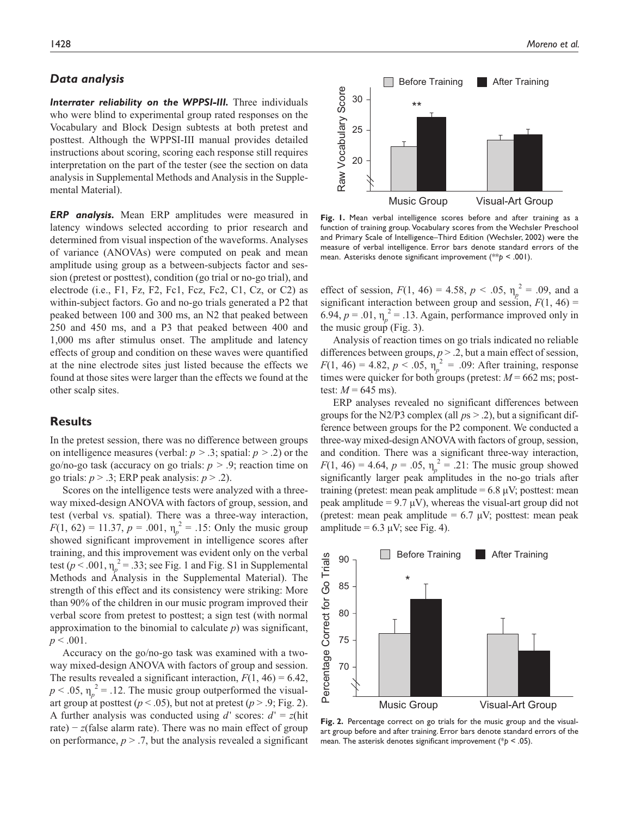## *Data analysis*

**Interrater reliability on the WPPSI-III.** Three individuals who were blind to experimental group rated responses on the Vocabulary and Block Design subtests at both pretest and posttest. Although the WPPSI-III manual provides detailed instructions about scoring, scoring each response still requires interpretation on the part of the tester (see the section on data analysis in Supplemental Methods and Analysis in the Supplemental Material).

*ERP analysis.* Mean ERP amplitudes were measured in latency windows selected according to prior research and determined from visual inspection of the waveforms. Analyses of variance (ANOVAs) were computed on peak and mean amplitude using group as a between-subjects factor and session (pretest or posttest), condition (go trial or no-go trial), and electrode (i.e., F1, Fz, F2, Fc1, Fcz, Fc2, C1, Cz, or C2) as within-subject factors. Go and no-go trials generated a P2 that peaked between 100 and 300 ms, an N2 that peaked between 250 and 450 ms, and a P3 that peaked between 400 and 1,000 ms after stimulus onset. The amplitude and latency effects of group and condition on these waves were quantified at the nine electrode sites just listed because the effects we found at those sites were larger than the effects we found at the other scalp sites.

#### **Results**

In the pretest session, there was no difference between groups on intelligence measures (verbal:  $p > .3$ ; spatial:  $p > .2$ ) or the go/no-go task (accuracy on go trials:  $p > 0$ ; reaction time on go trials:  $p > .3$ ; ERP peak analysis:  $p > .2$ ).

Scores on the intelligence tests were analyzed with a threeway mixed-design ANOVA with factors of group, session, and test (verbal vs. spatial). There was a three-way interaction,  $F(1, 62) = 11.37, p = .001, \eta_p^2 = .15$ : Only the music group showed significant improvement in intelligence scores after training, and this improvement was evident only on the verbal test ( $p < .001$ ,  $\eta_p^2 = .33$ ; see Fig. 1 and Fig. S1 in Supplemental Methods and Analysis in the Supplemental Material). The strength of this effect and its consistency were striking: More than 90% of the children in our music program improved their verbal score from pretest to posttest; a sign test (with normal approximation to the binomial to calculate *p*) was significant,  $p < .001$ .

Accuracy on the go/no-go task was examined with a twoway mixed-design ANOVA with factors of group and session. The results revealed a significant interaction,  $F(1, 46) = 6.42$ ,  $p < .05$ ,  $\eta_p^2 = .12$ . The music group outperformed the visualart group at posttest ( $p < .05$ ), but not at pretest ( $p > .9$ ; Fig. 2). A further analysis was conducted using *d*' scores: *d*' = *z*(hit rate) − *z*(false alarm rate). There was no main effect of group on performance,  $p > .7$ , but the analysis revealed a significant

Raw Vocabulary Score Raw Vocabulary Score 30 \*\* 25 20 Music Group Visual-Art Group

Before Training **After Training** 

**Fig. 1.** Mean verbal intelligence scores before and after training as a function of training group. Vocabulary scores from the Wechsler Preschool and Primary Scale of Intelligence–Third Edition (Wechsler, 2002) were the measure of verbal intelligence. Error bars denote standard errors of the mean. Asterisks denote significant improvement (\*\**p* < .001).

effect of session,  $F(1, 46) = 4.58$ ,  $p < .05$ ,  $\eta_p^2 = .09$ , and a significant interaction between group and session,  $F(1, 46)$  = 6.94,  $p = .01$ ,  $\eta_p^2 = .13$ . Again, performance improved only in the music group (Fig. 3).

Analysis of reaction times on go trials indicated no reliable differences between groups,  $p > 0.2$ , but a main effect of session,  $F(1, 46) = 4.82, p < .05, \eta_p^2 = .09$ : After training, response times were quicker for both groups (pretest:  $M = 662$  ms; posttest:  $M = 645$  ms).

ERP analyses revealed no significant differences between groups for the N2/P3 complex (all  $ps > .2$ ), but a significant difference between groups for the P2 component. We conducted a three-way mixed-design ANOVA with factors of group, session, and condition. There was a significant three-way interaction,  $F(1, 46) = 4.64$ ,  $p = .05$ ,  $\eta_p^2 = .21$ : The music group showed significantly larger peak amplitudes in the no-go trials after training (pretest: mean peak amplitude  $= 6.8 \mu V$ ; posttest: mean peak amplitude =  $9.7 \mu V$ ), whereas the visual-art group did not (pretest: mean peak amplitude =  $6.7 \mu V$ ; posttest: mean peak amplitude =  $6.3 \mu$ V; see Fig. 4).



**Fig. 2.** Percentage correct on go trials for the music group and the visualart group before and after training. Error bars denote standard errors of the mean. The asterisk denotes significant improvement (\**p* < .05).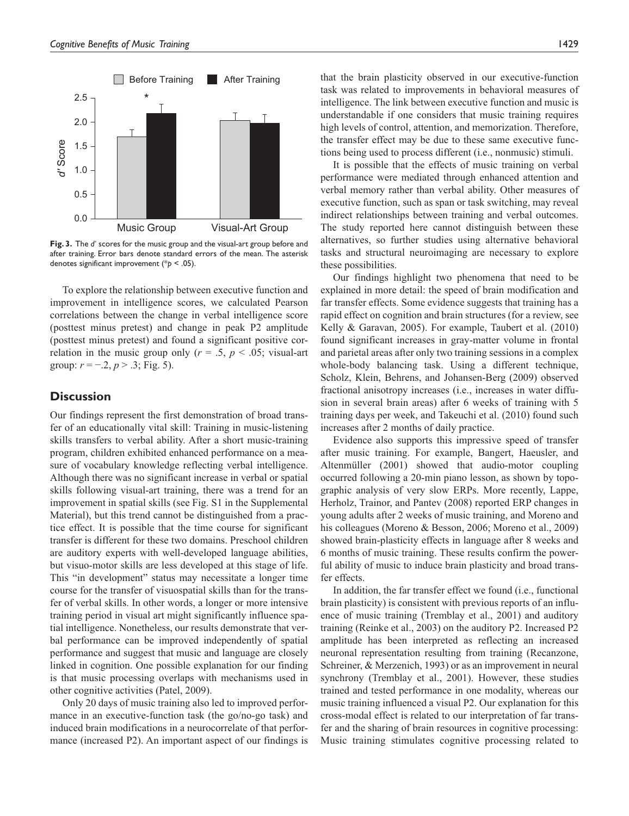

**Fig. 3.** The *d*' scores for the music group and the visual-art group before and after training. Error bars denote standard errors of the mean. The asterisk denotes significant improvement (\**p* < .05).

To explore the relationship between executive function and improvement in intelligence scores, we calculated Pearson correlations between the change in verbal intelligence score (posttest minus pretest) and change in peak P2 amplitude (posttest minus pretest) and found a significant positive correlation in the music group only ( $r = .5$ ,  $p < .05$ ; visual-art group:  $r = -0.2$ ,  $p > 0.3$ ; Fig. 5).

## **Discussion**

Our findings represent the first demonstration of broad transfer of an educationally vital skill: Training in music-listening skills transfers to verbal ability. After a short music-training program, children exhibited enhanced performance on a measure of vocabulary knowledge reflecting verbal intelligence. Although there was no significant increase in verbal or spatial skills following visual-art training, there was a trend for an improvement in spatial skills (see Fig. S1 in the Supplemental Material), but this trend cannot be distinguished from a practice effect. It is possible that the time course for significant transfer is different for these two domains. Preschool children are auditory experts with well-developed language abilities, but visuo-motor skills are less developed at this stage of life. This "in development" status may necessitate a longer time course for the transfer of visuospatial skills than for the transfer of verbal skills. In other words, a longer or more intensive training period in visual art might significantly influence spatial intelligence. Nonetheless, our results demonstrate that verbal performance can be improved independently of spatial performance and suggest that music and language are closely linked in cognition. One possible explanation for our finding is that music processing overlaps with mechanisms used in other cognitive activities (Patel, 2009).

Only 20 days of music training also led to improved performance in an executive-function task (the go/no-go task) and induced brain modifications in a neurocorrelate of that performance (increased P2). An important aspect of our findings is that the brain plasticity observed in our executive-function task was related to improvements in behavioral measures of intelligence. The link between executive function and music is understandable if one considers that music training requires high levels of control, attention, and memorization. Therefore, the transfer effect may be due to these same executive functions being used to process different (i.e., nonmusic) stimuli.

It is possible that the effects of music training on verbal performance were mediated through enhanced attention and verbal memory rather than verbal ability. Other measures of executive function, such as span or task switching, may reveal indirect relationships between training and verbal outcomes. The study reported here cannot distinguish between these alternatives, so further studies using alternative behavioral tasks and structural neuroimaging are necessary to explore these possibilities.

Our findings highlight two phenomena that need to be explained in more detail: the speed of brain modification and far transfer effects. Some evidence suggests that training has a rapid effect on cognition and brain structures (for a review, see Kelly & Garavan, 2005). For example, Taubert et al. (2010) found significant increases in gray-matter volume in frontal and parietal areas after only two training sessions in a complex whole-body balancing task. Using a different technique, Scholz, Klein, Behrens, and Johansen-Berg (2009) observed fractional anisotropy increases (i.e., increases in water diffusion in several brain areas) after 6 weeks of training with 5 training days per week, and Takeuchi et al. (2010) found such increases after 2 months of daily practice.

Evidence also supports this impressive speed of transfer after music training. For example, Bangert, Haeusler, and Altenmüller (2001) showed that audio-motor coupling occurred following a 20-min piano lesson, as shown by topographic analysis of very slow ERPs. More recently, Lappe, Herholz, Trainor, and Pantev (2008) reported ERP changes in young adults after 2 weeks of music training, and Moreno and his colleagues (Moreno & Besson, 2006; Moreno et al., 2009) showed brain-plasticity effects in language after 8 weeks and 6 months of music training. These results confirm the powerful ability of music to induce brain plasticity and broad transfer effects.

In addition, the far transfer effect we found (i.e., functional brain plasticity) is consistent with previous reports of an influence of music training (Tremblay et al., 2001) and auditory training (Reinke et al., 2003) on the auditory P2. Increased P2 amplitude has been interpreted as reflecting an increased neuronal representation resulting from training (Recanzone, Schreiner, & Merzenich, 1993) or as an improvement in neural synchrony (Tremblay et al., 2001). However, these studies trained and tested performance in one modality, whereas our music training influenced a visual P2. Our explanation for this cross-modal effect is related to our interpretation of far transfer and the sharing of brain resources in cognitive processing: Music training stimulates cognitive processing related to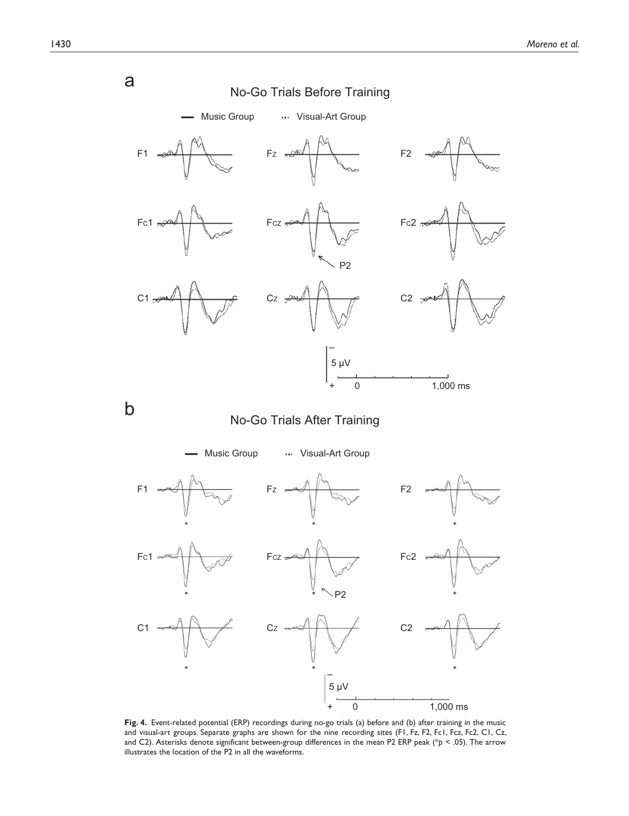# No-Go Trials Before Training



... Visual-Art Group















b

a

No-Go Trials After Training



**Fig. 4.** Event-related potential (ERP) recordings during no-go trials (a) before and (b) after training in the music and visual-art groups. Separate graphs are shown for the nine recording sites (F1, Fz, F2, Fc1, Fcz, Fc2, C1, Cz, and C2). Asterisks denote significant between-group differences in the mean P2 ERP peak (\**p* < .05). The arrow illustrates the location of the P2 in all the waveforms.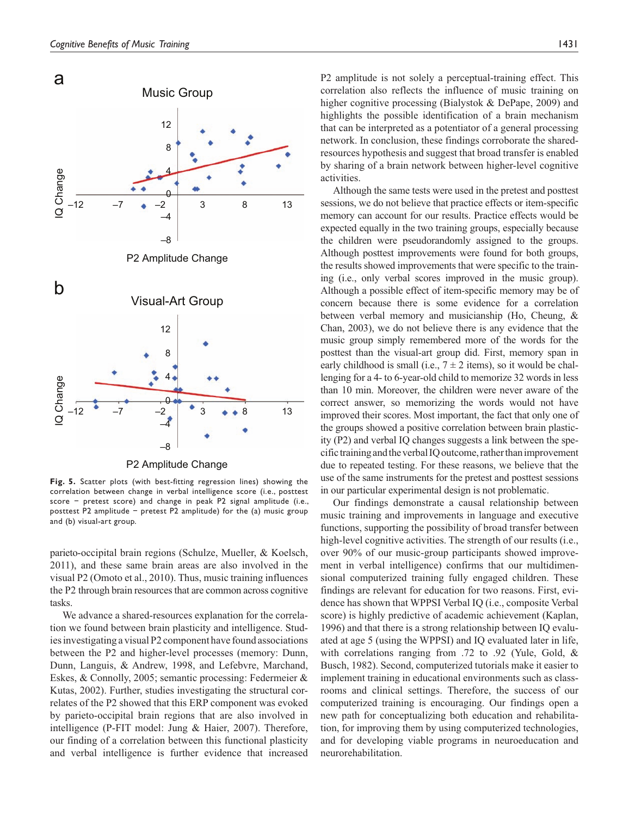

P2 Amplitude Change

**Fig. 5.** Scatter plots (with best-fitting regression lines) showing the correlation between change in verbal intelligence score (i.e., posttest score − pretest score) and change in peak P2 signal amplitude (i.e., posttest P2 amplitude − pretest P2 amplitude) for the (a) music group and (b) visual-art group.

parieto-occipital brain regions (Schulze, Mueller, & Koelsch, 2011), and these same brain areas are also involved in the visual P2 (Omoto et al., 2010). Thus, music training influences the P2 through brain resources that are common across cognitive tasks.

We advance a shared-resources explanation for the correlation we found between brain plasticity and intelligence. Studies investigating a visual P2 component have found associations between the P2 and higher-level processes (memory: Dunn, Dunn, Languis, & Andrew, 1998, and Lefebvre, Marchand, Eskes, & Connolly, 2005; semantic processing: Federmeier & Kutas, 2002). Further, studies investigating the structural correlates of the P2 showed that this ERP component was evoked by parieto-occipital brain regions that are also involved in intelligence (P-FIT model: Jung & Haier, 2007). Therefore, our finding of a correlation between this functional plasticity and verbal intelligence is further evidence that increased

P2 amplitude is not solely a perceptual-training effect. This correlation also reflects the influence of music training on higher cognitive processing (Bialystok & DePape, 2009) and highlights the possible identification of a brain mechanism that can be interpreted as a potentiator of a general processing network. In conclusion, these findings corroborate the sharedresources hypothesis and suggest that broad transfer is enabled by sharing of a brain network between higher-level cognitive activities.

Although the same tests were used in the pretest and posttest sessions, we do not believe that practice effects or item-specific memory can account for our results. Practice effects would be expected equally in the two training groups, especially because the children were pseudorandomly assigned to the groups. Although posttest improvements were found for both groups, the results showed improvements that were specific to the training (i.e., only verbal scores improved in the music group). Although a possible effect of item-specific memory may be of concern because there is some evidence for a correlation between verbal memory and musicianship (Ho, Cheung, & Chan, 2003), we do not believe there is any evidence that the music group simply remembered more of the words for the posttest than the visual-art group did. First, memory span in early childhood is small (i.e.,  $7 \pm 2$  items), so it would be challenging for a 4- to 6-year-old child to memorize 32 words in less than 10 min. Moreover, the children were never aware of the correct answer, so memorizing the words would not have improved their scores. Most important, the fact that only one of the groups showed a positive correlation between brain plasticity (P2) and verbal IQ changes suggests a link between the specific training and the verbal IQ outcome, rather than improvement due to repeated testing. For these reasons, we believe that the use of the same instruments for the pretest and posttest sessions in our particular experimental design is not problematic.

Our findings demonstrate a causal relationship between music training and improvements in language and executive functions, supporting the possibility of broad transfer between high-level cognitive activities. The strength of our results (i.e., over 90% of our music-group participants showed improvement in verbal intelligence) confirms that our multidimensional computerized training fully engaged children. These findings are relevant for education for two reasons. First, evidence has shown that WPPSI Verbal IQ (i.e., composite Verbal score) is highly predictive of academic achievement (Kaplan, 1996) and that there is a strong relationship between IQ evaluated at age 5 (using the WPPSI) and IQ evaluated later in life, with correlations ranging from .72 to .92 (Yule, Gold, & Busch, 1982). Second, computerized tutorials make it easier to implement training in educational environments such as classrooms and clinical settings. Therefore, the success of our computerized training is encouraging. Our findings open a new path for conceptualizing both education and rehabilitation, for improving them by using computerized technologies, and for developing viable programs in neuroeducation and neurorehabilitation.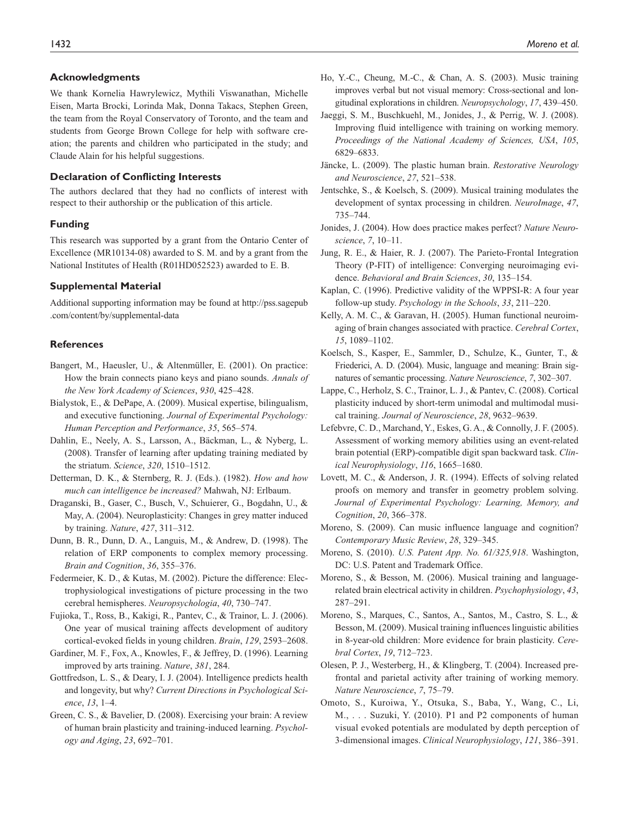#### **Acknowledgments**

We thank Kornelia Hawrylewicz, Mythili Viswanathan, Michelle Eisen, Marta Brocki, Lorinda Mak, Donna Takacs, Stephen Green, the team from the Royal Conservatory of Toronto, and the team and students from George Brown College for help with software creation; the parents and children who participated in the study; and Claude Alain for his helpful suggestions.

#### **Declaration of Conflicting Interests**

The authors declared that they had no conflicts of interest with respect to their authorship or the publication of this article.

#### **Funding**

This research was supported by a grant from the Ontario Center of Excellence (MR10134-08) awarded to S. M. and by a grant from the National Institutes of Health (R01HD052523) awarded to E. B.

#### **Supplemental Material**

Additional supporting information may be found at http://pss.sagepub .com/content/by/supplemental-data

#### **References**

- Bangert, M., Haeusler, U., & Altenmüller, E. (2001). On practice: How the brain connects piano keys and piano sounds. *Annals of the New York Academy of Sciences*, *930*, 425–428.
- Bialystok, E., & DePape, A. (2009). Musical expertise, bilingualism, and executive functioning. *Journal of Experimental Psychology: Human Perception and Performance*, *35*, 565–574.
- Dahlin, E., Neely, A. S., Larsson, A., Bäckman, L., & Nyberg, L. (2008). Transfer of learning after updating training mediated by the striatum. *Science*, *320*, 1510–1512.
- Detterman, D. K., & Sternberg, R. J. (Eds.). (1982). *How and how much can intelligence be increased?* Mahwah, NJ: Erlbaum.
- Draganski, B., Gaser, C., Busch, V., Schuierer, G., Bogdahn, U., & May, A. (2004). Neuroplasticity: Changes in grey matter induced by training. *Nature*, *427*, 311–312.
- Dunn, B. R., Dunn, D. A., Languis, M., & Andrew, D. (1998). The relation of ERP components to complex memory processing. *Brain and Cognition*, *36*, 355–376.
- Federmeier, K. D., & Kutas, M. (2002). Picture the difference: Electrophysiological investigations of picture processing in the two cerebral hemispheres. *Neuropsychologia*, *40*, 730–747.
- Fujioka, T., Ross, B., Kakigi, R., Pantev, C., & Trainor, L. J. (2006). One year of musical training affects development of auditory cortical-evoked fields in young children. *Brain*, *129*, 2593–2608.
- Gardiner, M. F., Fox, A., Knowles, F., & Jeffrey, D. (1996). Learning improved by arts training. *Nature*, *381*, 284.
- Gottfredson, L. S., & Deary, I. J. (2004). Intelligence predicts health and longevity, but why? *Current Directions in Psychological Science*, *13*, 1–4.
- Green, C. S., & Bavelier, D. (2008). Exercising your brain: A review of human brain plasticity and training-induced learning. *Psychology and Aging*, *23*, 692–701.
- Ho, Y.-C., Cheung, M.-C., & Chan, A. S. (2003). Music training improves verbal but not visual memory: Cross-sectional and longitudinal explorations in children. *Neuropsychology*, *17*, 439–450.
- Jaeggi, S. M., Buschkuehl, M., Jonides, J., & Perrig, W. J. (2008). Improving fluid intelligence with training on working memory. *Proceedings of the National Academy of Sciences, USA*, *105*, 6829–6833.
- Jäncke, L. (2009). The plastic human brain. *Restorative Neurology and Neuroscience*, *27*, 521–538.
- Jentschke, S., & Koelsch, S. (2009). Musical training modulates the development of syntax processing in children. *NeuroImage*, *47*, 735–744.
- Jonides, J. (2004). How does practice makes perfect? *Nature Neuroscience*, *7*, 10–11.
- Jung, R. E., & Haier, R. J. (2007). The Parieto-Frontal Integration Theory (P-FIT) of intelligence: Converging neuroimaging evidence. *Behavioral and Brain Sciences*, *30*, 135–154.
- Kaplan, C. (1996). Predictive validity of the WPPSI-R: A four year follow-up study. *Psychology in the Schools*, *33*, 211–220.
- Kelly, A. M. C., & Garavan, H. (2005). Human functional neuroimaging of brain changes associated with practice. *Cerebral Cortex*, *15*, 1089–1102.
- Koelsch, S., Kasper, E., Sammler, D., Schulze, K., Gunter, T., & Friederici, A. D. (2004). Music, language and meaning: Brain signatures of semantic processing. *Nature Neuroscience*, *7*, 302–307.
- Lappe, C., Herholz, S. C., Trainor, L. J., & Pantev, C. (2008). Cortical plasticity induced by short-term unimodal and multimodal musical training. *Journal of Neuroscience*, *28*, 9632–9639.
- Lefebvre, C. D., Marchand, Y., Eskes, G. A., & Connolly, J. F. (2005). Assessment of working memory abilities using an event-related brain potential (ERP)-compatible digit span backward task. *Clinical Neurophysiology*, *116*, 1665–1680.
- Lovett, M. C., & Anderson, J. R. (1994). Effects of solving related proofs on memory and transfer in geometry problem solving. *Journal of Experimental Psychology: Learning, Memory, and Cognition*, *20*, 366–378.
- Moreno, S. (2009). Can music influence language and cognition? *Contemporary Music Review*, *28*, 329–345.
- Moreno, S. (2010). *U.S. Patent App. No. 61/325,918*. Washington, DC: U.S. Patent and Trademark Office.
- Moreno, S., & Besson, M. (2006). Musical training and languagerelated brain electrical activity in children. *Psychophysiology*, *43*, 287–291.
- Moreno, S., Marques, C., Santos, A., Santos, M., Castro, S. L., & Besson, M. (2009). Musical training influences linguistic abilities in 8-year-old children: More evidence for brain plasticity. *Cerebral Cortex*, *19*, 712–723.
- Olesen, P. J., Westerberg, H., & Klingberg, T. (2004). Increased prefrontal and parietal activity after training of working memory. *Nature Neuroscience*, *7*, 75–79.
- Omoto, S., Kuroiwa, Y., Otsuka, S., Baba, Y., Wang, C., Li, M., . . . Suzuki, Y. (2010). P1 and P2 components of human visual evoked potentials are modulated by depth perception of 3-dimensional images. *Clinical Neurophysiology*, *121*, 386–391.